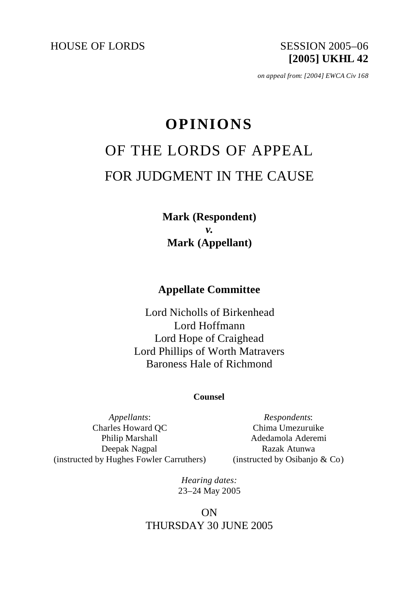HOUSE OF LORDS SESSION 2005-06

# **[2005] UKHL 42**

*on appeal from: [2004] EWCA Civ 168*

# **OPINIONS** OF THE LORDS OF APPEAL FOR JUDGMENT IN THE CAUSE

**Mark (Respondent)**  *v.* **Mark (Appellant)**

**Appellate Committee**

Lord Nicholls of Birkenhead Lord Hoffmann Lord Hope of Craighead Lord Phillips of Worth Matravers Baroness Hale of Richmond

### **Counsel**

*Appellants*: Charles Howard QC Philip Marshall Deepak Nagpal (instructed by Hughes Fowler Carruthers)

*Respondents*: Chima Umezuruike Adedamola Aderemi Razak Atunwa (instructed by Osibanjo & Co)

*Hearing dates:* 23–24 May 2005

## ON THURSDAY 30 JUNE 2005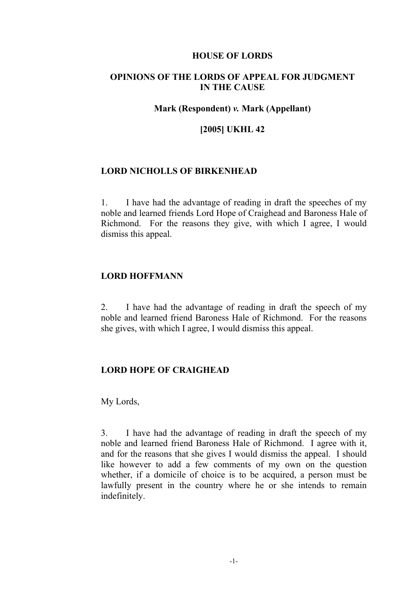#### **HOUSE OF LORDS**

## **OPINIONS OF THE LORDS OF APPEAL FOR JUDGMENT IN THE CAUSE**

#### **Mark (Respondent)** *v.* **Mark (Appellant)**

#### **[2005] UKHL 42**

#### **LORD NICHOLLS OF BIRKENHEAD**

1. I have had the advantage of reading in draft the speeches of my noble and learned friends Lord Hope of Craighead and Baroness Hale of Richmond. For the reasons they give, with which I agree, I would dismiss this appeal.

#### **LORD HOFFMANN**

2. I have had the advantage of reading in draft the speech of my noble and learned friend Baroness Hale of Richmond. For the reasons she gives, with which I agree, I would dismiss this appeal.

#### **LORD HOPE OF CRAIGHEAD**

My Lords,

3. I have had the advantage of reading in draft the speech of my noble and learned friend Baroness Hale of Richmond. I agree with it, and for the reasons that she gives I would dismiss the appeal. I should like however to add a few comments of my own on the question whether, if a domicile of choice is to be acquired, a person must be lawfully present in the country where he or she intends to remain indefinitely.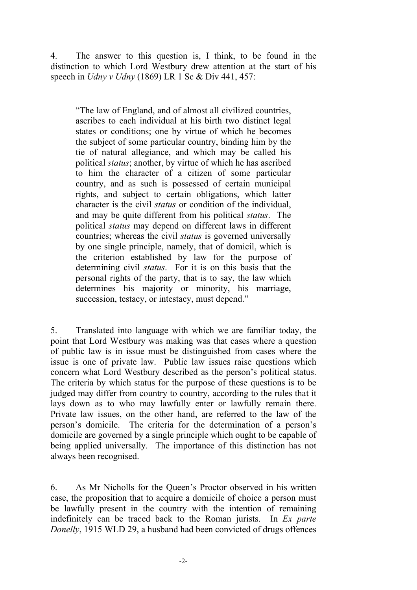4. The answer to this question is, I think, to be found in the distinction to which Lord Westbury drew attention at the start of his speech in *Udny v Udny* (1869) LR 1 Sc & Div 441, 457:

"The law of England, and of almost all civilized countries, ascribes to each individual at his birth two distinct legal states or conditions; one by virtue of which he becomes the subject of some particular country, binding him by the tie of natural allegiance, and which may be called his political *status*; another, by virtue of which he has ascribed to him the character of a citizen of some particular country, and as such is possessed of certain municipal rights, and subject to certain obligations, which latter character is the civil *status* or condition of the individual, and may be quite different from his political *status*. The political *status* may depend on different laws in different countries; whereas the civil *status* is governed universally by one single principle, namely, that of domicil, which is the criterion established by law for the purpose of determining civil *status*. For it is on this basis that the personal rights of the party, that is to say, the law which determines his majority or minority, his marriage, succession, testacy, or intestacy, must depend."

5. Translated into language with which we are familiar today, the point that Lord Westbury was making was that cases where a question of public law is in issue must be distinguished from cases where the issue is one of private law. Public law issues raise questions which concern what Lord Westbury described as the person's political status. The criteria by which status for the purpose of these questions is to be judged may differ from country to country, according to the rules that it lays down as to who may lawfully enter or lawfully remain there. Private law issues, on the other hand, are referred to the law of the person's domicile. The criteria for the determination of a person's domicile are governed by a single principle which ought to be capable of being applied universally. The importance of this distinction has not always been recognised.

6. As Mr Nicholls for the Queen's Proctor observed in his written case, the proposition that to acquire a domicile of choice a person must be lawfully present in the country with the intention of remaining indefinitely can be traced back to the Roman jurists. In *Ex parte Donelly*, 1915 WLD 29, a husband had been convicted of drugs offences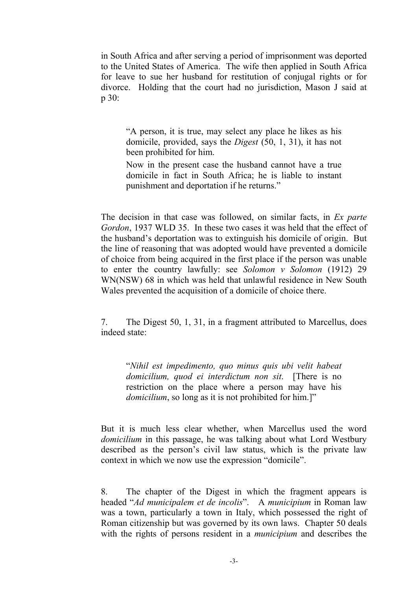in South Africa and after serving a period of imprisonment was deported to the United States of America. The wife then applied in South Africa for leave to sue her husband for restitution of conjugal rights or for divorce. Holding that the court had no jurisdiction, Mason J said at p 30:

"A person, it is true, may select any place he likes as his domicile, provided, says the *Digest* (50, 1, 31), it has not been prohibited for him.

Now in the present case the husband cannot have a true domicile in fact in South Africa; he is liable to instant punishment and deportation if he returns."

The decision in that case was followed, on similar facts, in *Ex parte Gordon*, 1937 WLD 35. In these two cases it was held that the effect of the husband's deportation was to extinguish his domicile of origin. But the line of reasoning that was adopted would have prevented a domicile of choice from being acquired in the first place if the person was unable to enter the country lawfully: see *Solomon v Solomon* (1912) 29 WN(NSW) 68 in which was held that unlawful residence in New South Wales prevented the acquisition of a domicile of choice there.

7. The Digest 50, 1, 31, in a fragment attributed to Marcellus, does indeed state:

"*Nihil est impedimento, quo minus quis ubi velit habeat domicilium, quod ei interdictum non sit*. [There is no restriction on the place where a person may have his *domicilium*, so long as it is not prohibited for him.]"

But it is much less clear whether, when Marcellus used the word *domicilium* in this passage, he was talking about what Lord Westbury described as the person's civil law status, which is the private law context in which we now use the expression "domicile".

8. The chapter of the Digest in which the fragment appears is headed "*Ad municipalem et de incolis*". A *municipium* in Roman law was a town, particularly a town in Italy, which possessed the right of Roman citizenship but was governed by its own laws. Chapter 50 deals with the rights of persons resident in a *municipium* and describes the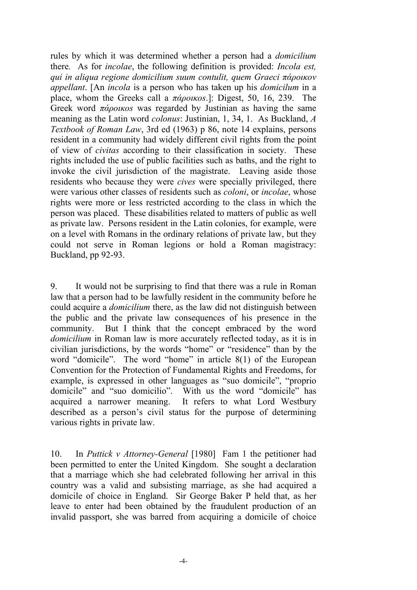rules by which it was determined whether a person had a *domicilium* there*.* As for *incolae*, the following definition is provided: *Incola est, qui in aliqua regione domicilium suum contulit, quem Graeci πάροικοv appellant*. [An *incola* is a person who has taken up his *domicilum* in a place, whom the Greeks call a *πάροικοs*.]: Digest, 50, 16, 239. The Greek word *πάροικοs* was regarded by Justinian as having the same meaning as the Latin word *colonus*: Justinian, 1, 34, 1. As Buckland, *A Textbook of Roman Law*, 3rd ed (1963) p 86, note 14 explains, persons resident in a community had widely different civil rights from the point of view of *civitas* according to their classification in society. These rights included the use of public facilities such as baths, and the right to invoke the civil jurisdiction of the magistrate. Leaving aside those residents who because they were *cives* were specially privileged, there were various other classes of residents such as *coloni*, or *incolae*, whose rights were more or less restricted according to the class in which the person was placed. These disabilities related to matters of public as well as private law. Persons resident in the Latin colonies, for example, were on a level with Romans in the ordinary relations of private law, but they could not serve in Roman legions or hold a Roman magistracy: Buckland, pp 92-93.

9. It would not be surprising to find that there was a rule in Roman law that a person had to be lawfully resident in the community before he could acquire a *domicilium* there, as the law did not distinguish between the public and the private law consequences of his presence in the community. But I think that the concept embraced by the word *domicilium* in Roman law is more accurately reflected today, as it is in civilian jurisdictions, by the words "home" or "residence" than by the word "domicile". The word "home" in article 8(1) of the European Convention for the Protection of Fundamental Rights and Freedoms, for example, is expressed in other languages as "suo domicile", "proprio domicile" and "suo domicilio". With us the word "domicile" has acquired a narrower meaning. It refers to what Lord Westbury described as a person's civil status for the purpose of determining various rights in private law.

10. In *Puttick v Attorney-General* [1980] Fam 1 the petitioner had been permitted to enter the United Kingdom. She sought a declaration that a marriage which she had celebrated following her arrival in this country was a valid and subsisting marriage, as she had acquired a domicile of choice in England. Sir George Baker P held that, as her leave to enter had been obtained by the fraudulent production of an invalid passport, she was barred from acquiring a domicile of choice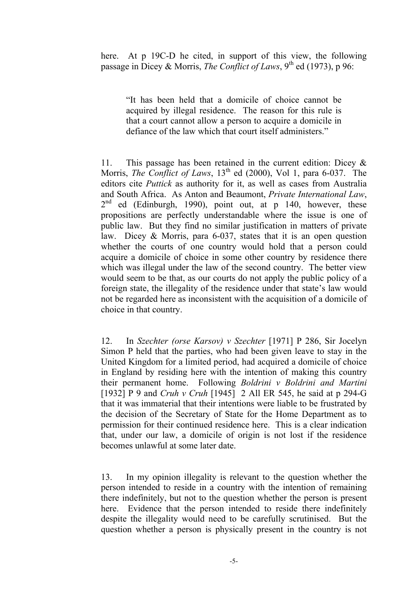here. At p 19C-D he cited, in support of this view, the following passage in Dicey & Morris, *The Conflict of Laws*,  $9<sup>th</sup>$  ed (1973), p 96:

"It has been held that a domicile of choice cannot be acquired by illegal residence. The reason for this rule is that a court cannot allow a person to acquire a domicile in defiance of the law which that court itself administers."

11. This passage has been retained in the current edition: Dicey & Morris, *The Conflict of Laws*, 13<sup>th</sup> ed (2000), Vol 1, para 6-037. The editors cite *Puttick* as authority for it, as well as cases from Australia and South Africa. As Anton and Beaumont, *Private International Law*,  $2<sup>nd</sup>$  ed (Edinburgh, 1990), point out, at p 140, however, these propositions are perfectly understandable where the issue is one of public law. But they find no similar justification in matters of private law. Dicey & Morris, para 6-037, states that it is an open question whether the courts of one country would hold that a person could acquire a domicile of choice in some other country by residence there which was illegal under the law of the second country. The better view would seem to be that, as our courts do not apply the public policy of a foreign state, the illegality of the residence under that state's law would not be regarded here as inconsistent with the acquisition of a domicile of choice in that country.

12. In *Szechter (orse Karsov) v Szechter* [1971] P 286, Sir Jocelyn Simon P held that the parties, who had been given leave to stay in the United Kingdom for a limited period, had acquired a domicile of choice in England by residing here with the intention of making this country their permanent home. Following *Boldrini v Boldrini and Martini* [1932] P 9 and *Cruh v Cruh* [1945] 2 All ER 545, he said at p 294-G that it was immaterial that their intentions were liable to be frustrated by the decision of the Secretary of State for the Home Department as to permission for their continued residence here. This is a clear indication that, under our law, a domicile of origin is not lost if the residence becomes unlawful at some later date.

13. In my opinion illegality is relevant to the question whether the person intended to reside in a country with the intention of remaining there indefinitely, but not to the question whether the person is present here. Evidence that the person intended to reside there indefinitely despite the illegality would need to be carefully scrutinised. But the question whether a person is physically present in the country is not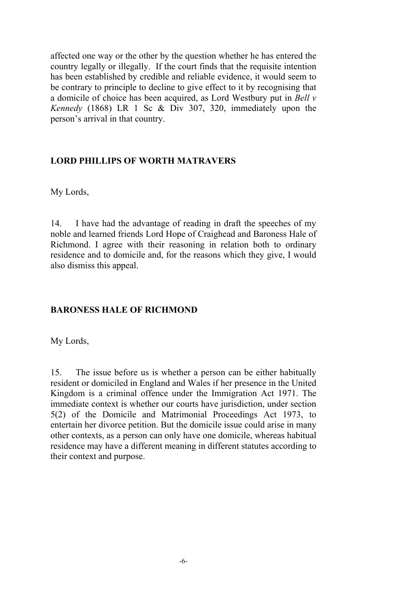affected one way or the other by the question whether he has entered the country legally or illegally. If the court finds that the requisite intention has been established by credible and reliable evidence, it would seem to be contrary to principle to decline to give effect to it by recognising that a domicile of choice has been acquired, as Lord Westbury put in *Bell v Kennedy* (1868) LR 1 Sc & Div 307, 320, immediately upon the person's arrival in that country.

## **LORD PHILLIPS OF WORTH MATRAVERS**

My Lords,

14. I have had the advantage of reading in draft the speeches of my noble and learned friends Lord Hope of Craighead and Baroness Hale of Richmond. I agree with their reasoning in relation both to ordinary residence and to domicile and, for the reasons which they give, I would also dismiss this appeal.

## **BARONESS HALE OF RICHMOND**

My Lords,

15. The issue before us is whether a person can be either habitually resident or domiciled in England and Wales if her presence in the United Kingdom is a criminal offence under the Immigration Act 1971. The immediate context is whether our courts have jurisdiction, under section 5(2) of the Domicile and Matrimonial Proceedings Act 1973, to entertain her divorce petition. But the domicile issue could arise in many other contexts, as a person can only have one domicile, whereas habitual residence may have a different meaning in different statutes according to their context and purpose.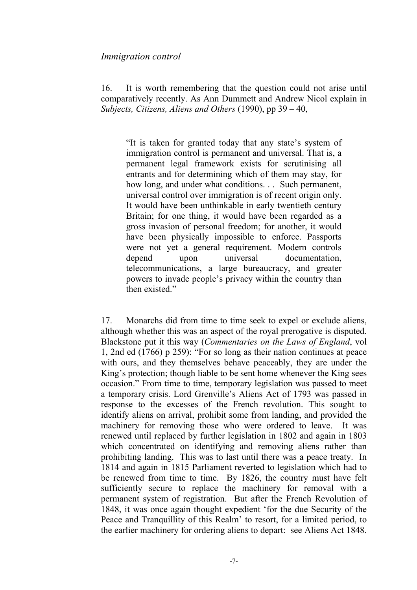#### *Immigration control*

16. It is worth remembering that the question could not arise until comparatively recently. As Ann Dummett and Andrew Nicol explain in *Subjects, Citizens, Aliens and Others* (1990), pp 39 – 40,

"It is taken for granted today that any state's system of immigration control is permanent and universal. That is, a permanent legal framework exists for scrutinising all entrants and for determining which of them may stay, for how long, and under what conditions. . . Such permanent, universal control over immigration is of recent origin only. It would have been unthinkable in early twentieth century Britain; for one thing, it would have been regarded as a gross invasion of personal freedom; for another, it would have been physically impossible to enforce. Passports were not yet a general requirement. Modern controls depend upon universal documentation telecommunications, a large bureaucracy, and greater powers to invade people's privacy within the country than then existed."

17. Monarchs did from time to time seek to expel or exclude aliens, although whether this was an aspect of the royal prerogative is disputed. Blackstone put it this way (*Commentaries on the Laws of England*, vol 1, 2nd ed (1766) p 259): "For so long as their nation continues at peace with ours, and they themselves behave peaceably, they are under the King's protection; though liable to be sent home whenever the King sees occasion." From time to time, temporary legislation was passed to meet a temporary crisis. Lord Grenville's Aliens Act of 1793 was passed in response to the excesses of the French revolution. This sought to identify aliens on arrival, prohibit some from landing, and provided the machinery for removing those who were ordered to leave. It was renewed until replaced by further legislation in 1802 and again in 1803 which concentrated on identifying and removing aliens rather than prohibiting landing. This was to last until there was a peace treaty. In 1814 and again in 1815 Parliament reverted to legislation which had to be renewed from time to time. By 1826, the country must have felt sufficiently secure to replace the machinery for removal with a permanent system of registration. But after the French Revolution of 1848, it was once again thought expedient 'for the due Security of the Peace and Tranquillity of this Realm' to resort, for a limited period, to the earlier machinery for ordering aliens to depart: see Aliens Act 1848.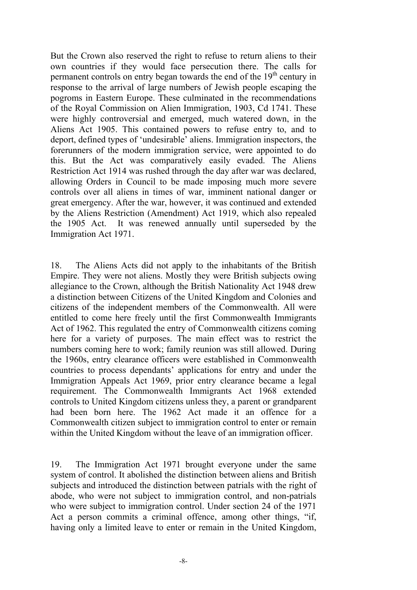But the Crown also reserved the right to refuse to return aliens to their own countries if they would face persecution there. The calls for permanent controls on entry began towards the end of the  $19<sup>th</sup>$  century in response to the arrival of large numbers of Jewish people escaping the pogroms in Eastern Europe. These culminated in the recommendations of the Royal Commission on Alien Immigration, 1903, Cd 1741. These were highly controversial and emerged, much watered down, in the Aliens Act 1905. This contained powers to refuse entry to, and to deport, defined types of 'undesirable' aliens. Immigration inspectors, the forerunners of the modern immigration service, were appointed to do this. But the Act was comparatively easily evaded. The Aliens Restriction Act 1914 was rushed through the day after war was declared, allowing Orders in Council to be made imposing much more severe controls over all aliens in times of war, imminent national danger or great emergency. After the war, however, it was continued and extended by the Aliens Restriction (Amendment) Act 1919, which also repealed the 1905 Act. It was renewed annually until superseded by the Immigration Act 1971.

18. The Aliens Acts did not apply to the inhabitants of the British Empire. They were not aliens. Mostly they were British subjects owing allegiance to the Crown, although the British Nationality Act 1948 drew a distinction between Citizens of the United Kingdom and Colonies and citizens of the independent members of the Commonwealth. All were entitled to come here freely until the first Commonwealth Immigrants Act of 1962. This regulated the entry of Commonwealth citizens coming here for a variety of purposes. The main effect was to restrict the numbers coming here to work; family reunion was still allowed. During the 1960s, entry clearance officers were established in Commonwealth countries to process dependants' applications for entry and under the Immigration Appeals Act 1969, prior entry clearance became a legal requirement. The Commonwealth Immigrants Act 1968 extended controls to United Kingdom citizens unless they, a parent or grandparent had been born here. The 1962 Act made it an offence for a Commonwealth citizen subject to immigration control to enter or remain within the United Kingdom without the leave of an immigration officer.

19. The Immigration Act 1971 brought everyone under the same system of control. It abolished the distinction between aliens and British subjects and introduced the distinction between patrials with the right of abode, who were not subject to immigration control, and non-patrials who were subject to immigration control. Under section 24 of the 1971 Act a person commits a criminal offence, among other things, "if, having only a limited leave to enter or remain in the United Kingdom,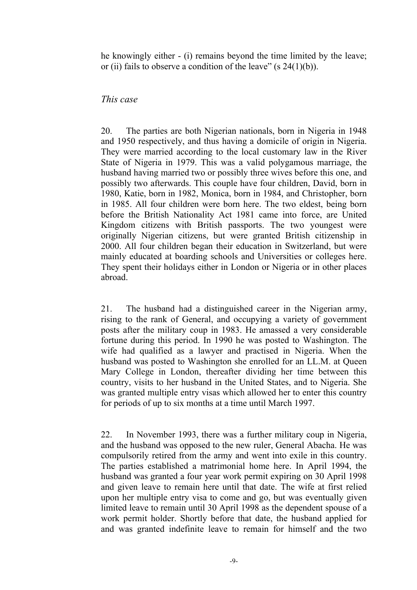he knowingly either - (i) remains beyond the time limited by the leave; or (ii) fails to observe a condition of the leave"  $(s 24(1)(b))$ .

## *This case*

20. The parties are both Nigerian nationals, born in Nigeria in 1948 and 1950 respectively, and thus having a domicile of origin in Nigeria. They were married according to the local customary law in the River State of Nigeria in 1979. This was a valid polygamous marriage, the husband having married two or possibly three wives before this one, and possibly two afterwards. This couple have four children, David, born in 1980, Katie, born in 1982, Monica, born in 1984, and Christopher, born in 1985. All four children were born here. The two eldest, being born before the British Nationality Act 1981 came into force, are United Kingdom citizens with British passports. The two youngest were originally Nigerian citizens, but were granted British citizenship in 2000. All four children began their education in Switzerland, but were mainly educated at boarding schools and Universities or colleges here. They spent their holidays either in London or Nigeria or in other places abroad.

21. The husband had a distinguished career in the Nigerian army, rising to the rank of General, and occupying a variety of government posts after the military coup in 1983. He amassed a very considerable fortune during this period. In 1990 he was posted to Washington. The wife had qualified as a lawyer and practised in Nigeria. When the husband was posted to Washington she enrolled for an LL.M. at Queen Mary College in London, thereafter dividing her time between this country, visits to her husband in the United States, and to Nigeria. She was granted multiple entry visas which allowed her to enter this country for periods of up to six months at a time until March 1997.

22. In November 1993, there was a further military coup in Nigeria, and the husband was opposed to the new ruler, General Abacha. He was compulsorily retired from the army and went into exile in this country. The parties established a matrimonial home here. In April 1994, the husband was granted a four year work permit expiring on 30 April 1998 and given leave to remain here until that date. The wife at first relied upon her multiple entry visa to come and go, but was eventually given limited leave to remain until 30 April 1998 as the dependent spouse of a work permit holder. Shortly before that date, the husband applied for and was granted indefinite leave to remain for himself and the two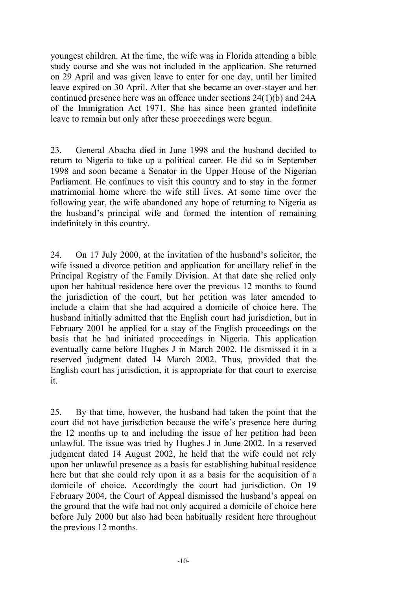youngest children. At the time, the wife was in Florida attending a bible study course and she was not included in the application. She returned on 29 April and was given leave to enter for one day, until her limited leave expired on 30 April. After that she became an over-stayer and her continued presence here was an offence under sections 24(1)(b) and 24A of the Immigration Act 1971. She has since been granted indefinite leave to remain but only after these proceedings were begun.

23. General Abacha died in June 1998 and the husband decided to return to Nigeria to take up a political career. He did so in September 1998 and soon became a Senator in the Upper House of the Nigerian Parliament. He continues to visit this country and to stay in the former matrimonial home where the wife still lives. At some time over the following year, the wife abandoned any hope of returning to Nigeria as the husband's principal wife and formed the intention of remaining indefinitely in this country.

24. On 17 July 2000, at the invitation of the husband's solicitor, the wife issued a divorce petition and application for ancillary relief in the Principal Registry of the Family Division. At that date she relied only upon her habitual residence here over the previous 12 months to found the jurisdiction of the court, but her petition was later amended to include a claim that she had acquired a domicile of choice here. The husband initially admitted that the English court had jurisdiction, but in February 2001 he applied for a stay of the English proceedings on the basis that he had initiated proceedings in Nigeria. This application eventually came before Hughes J in March 2002. He dismissed it in a reserved judgment dated 14 March 2002. Thus, provided that the English court has jurisdiction, it is appropriate for that court to exercise it.

25. By that time, however, the husband had taken the point that the court did not have jurisdiction because the wife's presence here during the 12 months up to and including the issue of her petition had been unlawful. The issue was tried by Hughes J in June 2002. In a reserved judgment dated 14 August 2002, he held that the wife could not rely upon her unlawful presence as a basis for establishing habitual residence here but that she could rely upon it as a basis for the acquisition of a domicile of choice. Accordingly the court had jurisdiction. On 19 February 2004, the Court of Appeal dismissed the husband's appeal on the ground that the wife had not only acquired a domicile of choice here before July 2000 but also had been habitually resident here throughout the previous 12 months.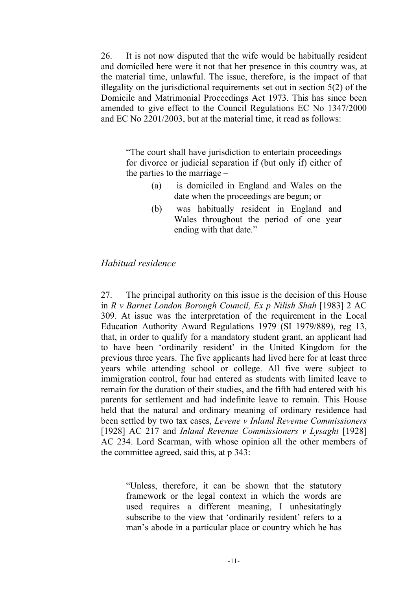26. It is not now disputed that the wife would be habitually resident and domiciled here were it not that her presence in this country was, at the material time, unlawful. The issue, therefore, is the impact of that illegality on the jurisdictional requirements set out in section 5(2) of the Domicile and Matrimonial Proceedings Act 1973. This has since been amended to give effect to the Council Regulations EC No 1347/2000 and EC No 2201/2003, but at the material time, it read as follows:

"The court shall have jurisdiction to entertain proceedings for divorce or judicial separation if (but only if) either of the parties to the marriage –

- (a) is domiciled in England and Wales on the date when the proceedings are begun; or
- (b) was habitually resident in England and Wales throughout the period of one year ending with that date."

## *Habitual residence*

27. The principal authority on this issue is the decision of this House in *R v Barnet London Borough Council, Ex p Nilish Shah* [1983] 2 AC 309. At issue was the interpretation of the requirement in the Local Education Authority Award Regulations 1979 (SI 1979/889), reg 13, that, in order to qualify for a mandatory student grant, an applicant had to have been 'ordinarily resident' in the United Kingdom for the previous three years. The five applicants had lived here for at least three years while attending school or college. All five were subject to immigration control, four had entered as students with limited leave to remain for the duration of their studies, and the fifth had entered with his parents for settlement and had indefinite leave to remain. This House held that the natural and ordinary meaning of ordinary residence had been settled by two tax cases, *Levene v Inland Revenue Commissioners* [1928] AC 217 and *Inland Revenue Commissioners v Lysaght* [1928] AC 234. Lord Scarman, with whose opinion all the other members of the committee agreed, said this, at p 343:

"Unless, therefore, it can be shown that the statutory framework or the legal context in which the words are used requires a different meaning, I unhesitatingly subscribe to the view that 'ordinarily resident' refers to a man's abode in a particular place or country which he has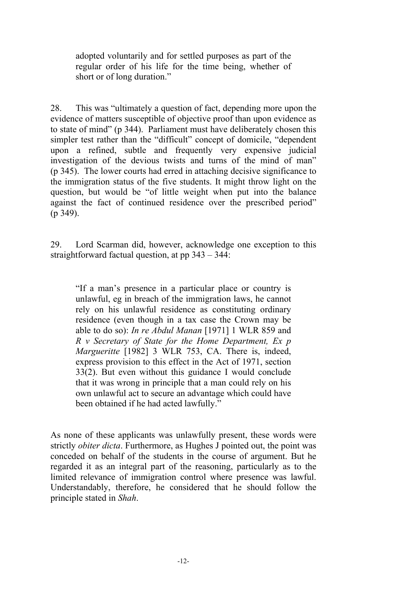adopted voluntarily and for settled purposes as part of the regular order of his life for the time being, whether of short or of long duration."

28. This was "ultimately a question of fact, depending more upon the evidence of matters susceptible of objective proof than upon evidence as to state of mind" (p 344). Parliament must have deliberately chosen this simpler test rather than the "difficult" concept of domicile, "dependent upon a refined, subtle and frequently very expensive judicial investigation of the devious twists and turns of the mind of man" (p 345). The lower courts had erred in attaching decisive significance to the immigration status of the five students. It might throw light on the question, but would be "of little weight when put into the balance against the fact of continued residence over the prescribed period" (p 349).

29. Lord Scarman did, however, acknowledge one exception to this straightforward factual question, at pp 343 – 344:

"If a man's presence in a particular place or country is unlawful, eg in breach of the immigration laws, he cannot rely on his unlawful residence as constituting ordinary residence (even though in a tax case the Crown may be able to do so): *In re Abdul Manan* [1971] 1 WLR 859 and *R v Secretary of State for the Home Department, Ex p Margueritte* [1982] 3 WLR 753, CA. There is, indeed, express provision to this effect in the Act of 1971, section 33(2). But even without this guidance I would conclude that it was wrong in principle that a man could rely on his own unlawful act to secure an advantage which could have been obtained if he had acted lawfully."

As none of these applicants was unlawfully present, these words were strictly *obiter dicta*. Furthermore, as Hughes J pointed out, the point was conceded on behalf of the students in the course of argument. But he regarded it as an integral part of the reasoning, particularly as to the limited relevance of immigration control where presence was lawful. Understandably, therefore, he considered that he should follow the principle stated in *Shah*.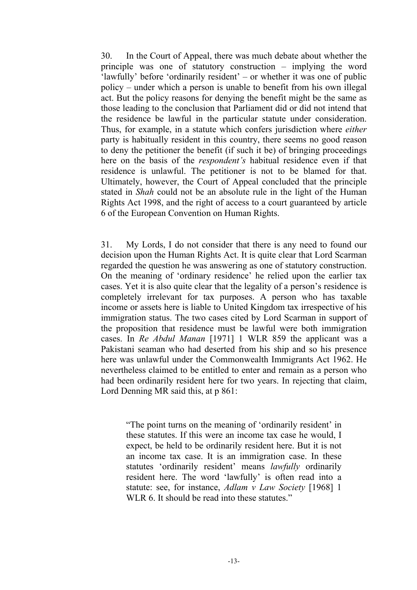30. In the Court of Appeal, there was much debate about whether the principle was one of statutory construction – implying the word 'lawfully' before 'ordinarily resident' – or whether it was one of public policy – under which a person is unable to benefit from his own illegal act. But the policy reasons for denying the benefit might be the same as those leading to the conclusion that Parliament did or did not intend that the residence be lawful in the particular statute under consideration. Thus, for example, in a statute which confers jurisdiction where *either* party is habitually resident in this country, there seems no good reason to deny the petitioner the benefit (if such it be) of bringing proceedings here on the basis of the *respondent's* habitual residence even if that residence is unlawful. The petitioner is not to be blamed for that. Ultimately, however, the Court of Appeal concluded that the principle stated in *Shah* could not be an absolute rule in the light of the Human Rights Act 1998, and the right of access to a court guaranteed by article 6 of the European Convention on Human Rights.

31. My Lords, I do not consider that there is any need to found our decision upon the Human Rights Act. It is quite clear that Lord Scarman regarded the question he was answering as one of statutory construction. On the meaning of 'ordinary residence' he relied upon the earlier tax cases. Yet it is also quite clear that the legality of a person's residence is completely irrelevant for tax purposes. A person who has taxable income or assets here is liable to United Kingdom tax irrespective of his immigration status. The two cases cited by Lord Scarman in support of the proposition that residence must be lawful were both immigration cases. In *Re Abdul Manan* [1971] 1 WLR 859 the applicant was a Pakistani seaman who had deserted from his ship and so his presence here was unlawful under the Commonwealth Immigrants Act 1962. He nevertheless claimed to be entitled to enter and remain as a person who had been ordinarily resident here for two years. In rejecting that claim, Lord Denning MR said this, at p 861:

"The point turns on the meaning of 'ordinarily resident' in these statutes. If this were an income tax case he would, I expect, be held to be ordinarily resident here. But it is not an income tax case. It is an immigration case. In these statutes 'ordinarily resident' means *lawfully* ordinarily resident here. The word 'lawfully' is often read into a statute: see, for instance, *Adlam v Law Society* [1968] 1 WLR 6. It should be read into these statutes."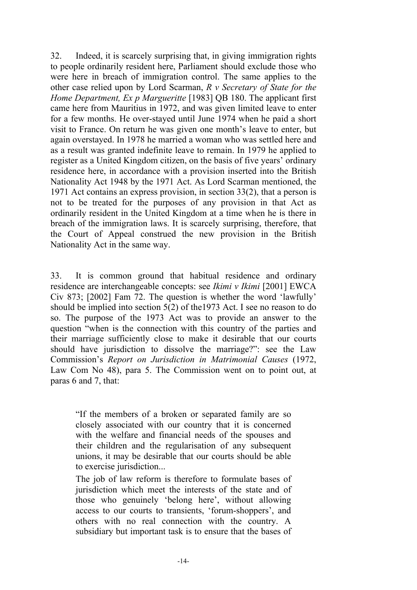32. Indeed, it is scarcely surprising that, in giving immigration rights to people ordinarily resident here, Parliament should exclude those who were here in breach of immigration control. The same applies to the other case relied upon by Lord Scarman, *R v Secretary of State for the Home Department, Ex p Margueritte* [1983] QB 180. The applicant first came here from Mauritius in 1972, and was given limited leave to enter for a few months. He over-stayed until June 1974 when he paid a short visit to France. On return he was given one month's leave to enter, but again overstayed. In 1978 he married a woman who was settled here and as a result was granted indefinite leave to remain. In 1979 he applied to register as a United Kingdom citizen, on the basis of five years' ordinary residence here, in accordance with a provision inserted into the British Nationality Act 1948 by the 1971 Act. As Lord Scarman mentioned, the 1971 Act contains an express provision, in section 33(2), that a person is not to be treated for the purposes of any provision in that Act as ordinarily resident in the United Kingdom at a time when he is there in breach of the immigration laws. It is scarcely surprising, therefore, that the Court of Appeal construed the new provision in the British Nationality Act in the same way.

33. It is common ground that habitual residence and ordinary residence are interchangeable concepts: see *Ikimi v Ikimi* [2001] EWCA Civ 873; [2002] Fam 72. The question is whether the word 'lawfully' should be implied into section 5(2) of the1973 Act. I see no reason to do so. The purpose of the 1973 Act was to provide an answer to the question "when is the connection with this country of the parties and their marriage sufficiently close to make it desirable that our courts should have jurisdiction to dissolve the marriage?": see the Law Commission's *Report on Jurisdiction in Matrimonial Causes* (1972, Law Com No 48), para 5. The Commission went on to point out, at paras 6 and 7, that:

"If the members of a broken or separated family are so closely associated with our country that it is concerned with the welfare and financial needs of the spouses and their children and the regularisation of any subsequent unions, it may be desirable that our courts should be able to exercise jurisdiction...

The job of law reform is therefore to formulate bases of jurisdiction which meet the interests of the state and of those who genuinely 'belong here', without allowing access to our courts to transients, 'forum-shoppers', and others with no real connection with the country. A subsidiary but important task is to ensure that the bases of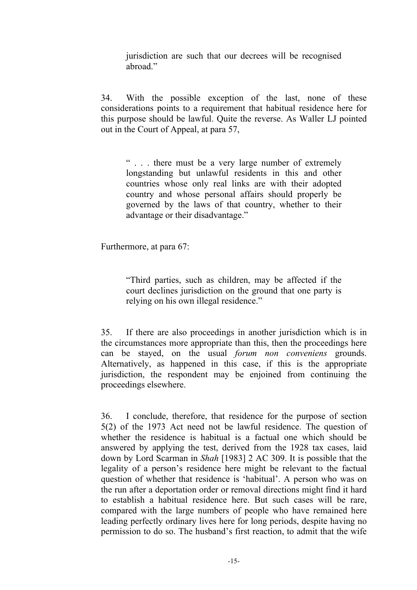jurisdiction are such that our decrees will be recognised abroad."

34. With the possible exception of the last, none of these considerations points to a requirement that habitual residence here for this purpose should be lawful. Quite the reverse. As Waller LJ pointed out in the Court of Appeal, at para 57,

" . . . there must be a very large number of extremely longstanding but unlawful residents in this and other countries whose only real links are with their adopted country and whose personal affairs should properly be governed by the laws of that country, whether to their advantage or their disadvantage."

Furthermore, at para 67:

"Third parties, such as children, may be affected if the court declines jurisdiction on the ground that one party is relying on his own illegal residence."

35. If there are also proceedings in another jurisdiction which is in the circumstances more appropriate than this, then the proceedings here can be stayed, on the usual *forum non conveniens* grounds. Alternatively, as happened in this case, if this is the appropriate jurisdiction, the respondent may be enjoined from continuing the proceedings elsewhere.

36. I conclude, therefore, that residence for the purpose of section 5(2) of the 1973 Act need not be lawful residence. The question of whether the residence is habitual is a factual one which should be answered by applying the test, derived from the 1928 tax cases, laid down by Lord Scarman in *Shah* [1983] 2 AC 309. It is possible that the legality of a person's residence here might be relevant to the factual question of whether that residence is 'habitual'. A person who was on the run after a deportation order or removal directions might find it hard to establish a habitual residence here. But such cases will be rare, compared with the large numbers of people who have remained here leading perfectly ordinary lives here for long periods, despite having no permission to do so. The husband's first reaction, to admit that the wife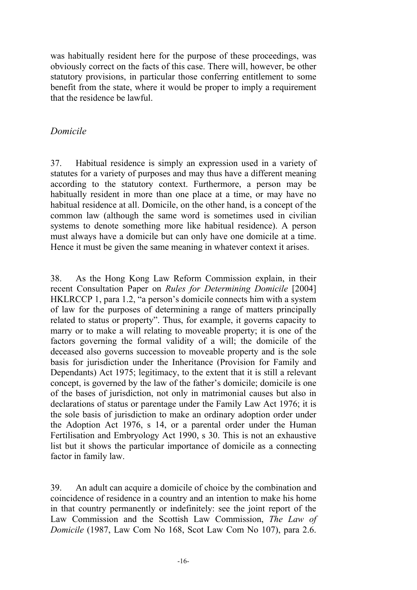was habitually resident here for the purpose of these proceedings, was obviously correct on the facts of this case. There will, however, be other statutory provisions, in particular those conferring entitlement to some benefit from the state, where it would be proper to imply a requirement that the residence be lawful.

## *Domicile*

37. Habitual residence is simply an expression used in a variety of statutes for a variety of purposes and may thus have a different meaning according to the statutory context. Furthermore, a person may be habitually resident in more than one place at a time, or may have no habitual residence at all. Domicile, on the other hand, is a concept of the common law (although the same word is sometimes used in civilian systems to denote something more like habitual residence). A person must always have a domicile but can only have one domicile at a time. Hence it must be given the same meaning in whatever context it arises.

38. As the Hong Kong Law Reform Commission explain, in their recent Consultation Paper on *Rules for Determining Domicile* [2004] HKLRCCP 1, para 1.2, "a person's domicile connects him with a system of law for the purposes of determining a range of matters principally related to status or property". Thus, for example, it governs capacity to marry or to make a will relating to moveable property; it is one of the factors governing the formal validity of a will; the domicile of the deceased also governs succession to moveable property and is the sole basis for jurisdiction under the Inheritance (Provision for Family and Dependants) Act 1975; legitimacy, to the extent that it is still a relevant concept, is governed by the law of the father's domicile; domicile is one of the bases of jurisdiction, not only in matrimonial causes but also in declarations of status or parentage under the Family Law Act 1976; it is the sole basis of jurisdiction to make an ordinary adoption order under the Adoption Act 1976, s 14, or a parental order under the Human Fertilisation and Embryology Act 1990, s 30. This is not an exhaustive list but it shows the particular importance of domicile as a connecting factor in family law.

39. An adult can acquire a domicile of choice by the combination and coincidence of residence in a country and an intention to make his home in that country permanently or indefinitely: see the joint report of the Law Commission and the Scottish Law Commission, *The Law of Domicile* (1987, Law Com No 168, Scot Law Com No 107), para 2.6.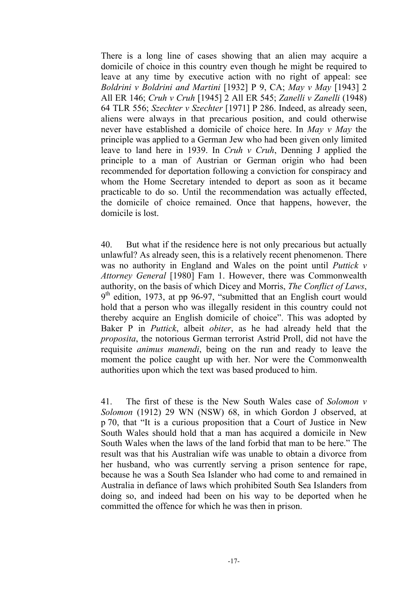There is a long line of cases showing that an alien may acquire a domicile of choice in this country even though he might be required to leave at any time by executive action with no right of appeal: see *Boldrini v Boldrini and Martini* [1932] P 9, CA; *May v May* [1943] 2 All ER 146; *Cruh v Cruh* [1945] 2 All ER 545; *Zanelli v Zanelli* (1948) 64 TLR 556; *Szechter v Szechter* [1971] P 286. Indeed, as already seen, aliens were always in that precarious position, and could otherwise never have established a domicile of choice here. In *May v May* the principle was applied to a German Jew who had been given only limited leave to land here in 1939. In *Cruh v Cruh*, Denning J applied the principle to a man of Austrian or German origin who had been recommended for deportation following a conviction for conspiracy and whom the Home Secretary intended to deport as soon as it became practicable to do so. Until the recommendation was actually effected, the domicile of choice remained. Once that happens, however, the domicile is lost.

40. But what if the residence here is not only precarious but actually unlawful? As already seen, this is a relatively recent phenomenon. There was no authority in England and Wales on the point until *Puttick v Attorney General* [1980] Fam 1. However, there was Commonwealth authority, on the basis of which Dicey and Morris, *The Conflict of Laws*, 9<sup>th</sup> edition, 1973, at pp 96-97, "submitted that an English court would hold that a person who was illegally resident in this country could not thereby acquire an English domicile of choice". This was adopted by Baker P in *Puttick*, albeit *obiter*, as he had already held that the *proposita*, the notorious German terrorist Astrid Proll, did not have the requisite *animus manendi*, being on the run and ready to leave the moment the police caught up with her. Nor were the Commonwealth authorities upon which the text was based produced to him.

41. The first of these is the New South Wales case of *Solomon v Solomon* (1912) 29 WN (NSW) 68, in which Gordon J observed, at p 70, that "It is a curious proposition that a Court of Justice in New South Wales should hold that a man has acquired a domicile in New South Wales when the laws of the land forbid that man to be here." The result was that his Australian wife was unable to obtain a divorce from her husband, who was currently serving a prison sentence for rape, because he was a South Sea Islander who had come to and remained in Australia in defiance of laws which prohibited South Sea Islanders from doing so, and indeed had been on his way to be deported when he committed the offence for which he was then in prison.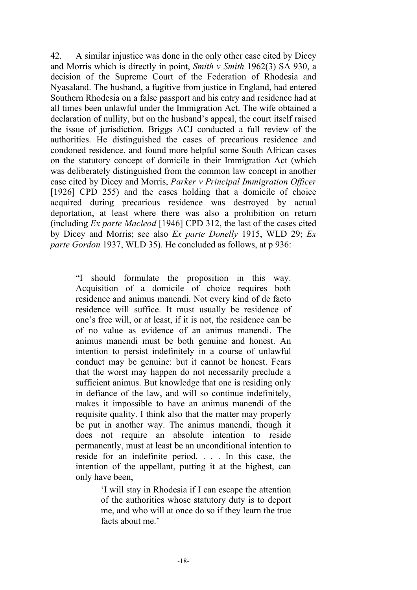42. A similar injustice was done in the only other case cited by Dicey and Morris which is directly in point, *Smith v Smith* 1962(3) SA 930, a decision of the Supreme Court of the Federation of Rhodesia and Nyasaland. The husband, a fugitive from justice in England, had entered Southern Rhodesia on a false passport and his entry and residence had at all times been unlawful under the Immigration Act. The wife obtained a declaration of nullity, but on the husband's appeal, the court itself raised the issue of jurisdiction. Briggs ACJ conducted a full review of the authorities. He distinguished the cases of precarious residence and condoned residence, and found more helpful some South African cases on the statutory concept of domicile in their Immigration Act (which was deliberately distinguished from the common law concept in another case cited by Dicey and Morris, *Parker v Principal Immigration Officer* [1926] CPD 255) and the cases holding that a domicile of choice acquired during precarious residence was destroyed by actual deportation, at least where there was also a prohibition on return (including *Ex parte Macleod* [1946] CPD 312, the last of the cases cited by Dicey and Morris; see also *Ex parte Donelly* 1915, WLD 29; *Ex parte Gordon* 1937, WLD 35). He concluded as follows, at p 936:

"I should formulate the proposition in this way. Acquisition of a domicile of choice requires both residence and animus manendi. Not every kind of de facto residence will suffice. It must usually be residence of one's free will, or at least, if it is not, the residence can be of no value as evidence of an animus manendi. The animus manendi must be both genuine and honest. An intention to persist indefinitely in a course of unlawful conduct may be genuine: but it cannot be honest. Fears that the worst may happen do not necessarily preclude a sufficient animus. But knowledge that one is residing only in defiance of the law, and will so continue indefinitely, makes it impossible to have an animus manendi of the requisite quality. I think also that the matter may properly be put in another way. The animus manendi, though it does not require an absolute intention to reside permanently, must at least be an unconditional intention to reside for an indefinite period. . . . In this case, the intention of the appellant, putting it at the highest, can only have been,

> 'I will stay in Rhodesia if I can escape the attention of the authorities whose statutory duty is to deport me, and who will at once do so if they learn the true facts about me.'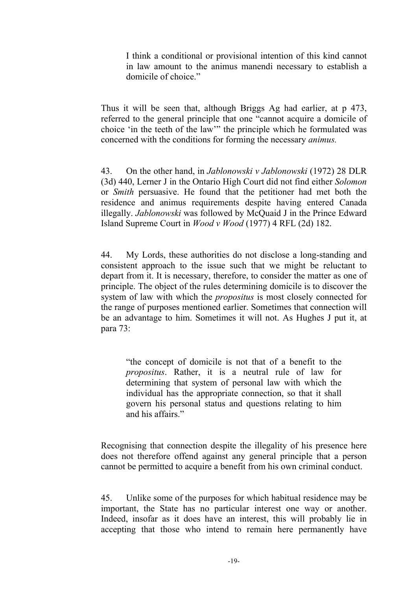I think a conditional or provisional intention of this kind cannot in law amount to the animus manendi necessary to establish a domicile of choice."

Thus it will be seen that, although Briggs Ag had earlier, at p 473, referred to the general principle that one "cannot acquire a domicile of choice 'in the teeth of the law'" the principle which he formulated was concerned with the conditions for forming the necessary *animus.* 

43. On the other hand, in *Jablonowski v Jablonowski* (1972) 28 DLR (3d) 440, Lerner J in the Ontario High Court did not find either *Solomon*  or *Smith* persuasive. He found that the petitioner had met both the residence and animus requirements despite having entered Canada illegally. *Jablonowski* was followed by McQuaid J in the Prince Edward Island Supreme Court in *Wood v Wood* (1977) 4 RFL (2d) 182.

44. My Lords, these authorities do not disclose a long-standing and consistent approach to the issue such that we might be reluctant to depart from it. It is necessary, therefore, to consider the matter as one of principle. The object of the rules determining domicile is to discover the system of law with which the *propositus* is most closely connected for the range of purposes mentioned earlier. Sometimes that connection will be an advantage to him. Sometimes it will not. As Hughes J put it, at para 73:

"the concept of domicile is not that of a benefit to the *propositus*. Rather, it is a neutral rule of law for determining that system of personal law with which the individual has the appropriate connection, so that it shall govern his personal status and questions relating to him and his affairs."

Recognising that connection despite the illegality of his presence here does not therefore offend against any general principle that a person cannot be permitted to acquire a benefit from his own criminal conduct.

45. Unlike some of the purposes for which habitual residence may be important, the State has no particular interest one way or another. Indeed, insofar as it does have an interest, this will probably lie in accepting that those who intend to remain here permanently have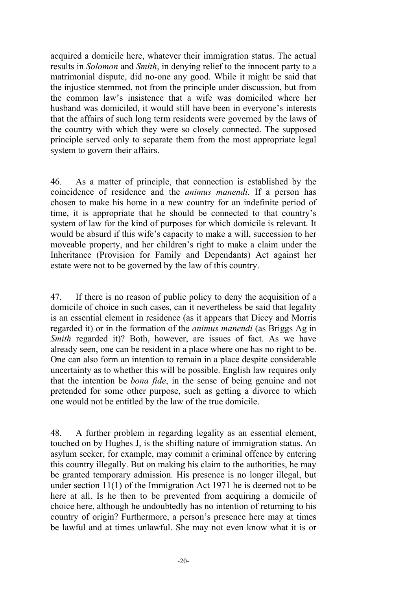acquired a domicile here, whatever their immigration status. The actual results in *Solomon* and *Smith*, in denying relief to the innocent party to a matrimonial dispute, did no-one any good. While it might be said that the injustice stemmed, not from the principle under discussion, but from the common law's insistence that a wife was domiciled where her husband was domiciled, it would still have been in everyone's interests that the affairs of such long term residents were governed by the laws of the country with which they were so closely connected. The supposed principle served only to separate them from the most appropriate legal system to govern their affairs.

46. As a matter of principle, that connection is established by the coincidence of residence and the *animus manendi*. If a person has chosen to make his home in a new country for an indefinite period of time, it is appropriate that he should be connected to that country's system of law for the kind of purposes for which domicile is relevant. It would be absurd if this wife's capacity to make a will, succession to her moveable property, and her children's right to make a claim under the Inheritance (Provision for Family and Dependants) Act against her estate were not to be governed by the law of this country.

47. If there is no reason of public policy to deny the acquisition of a domicile of choice in such cases, can it nevertheless be said that legality is an essential element in residence (as it appears that Dicey and Morris regarded it) or in the formation of the *animus manendi* (as Briggs Ag in *Smith* regarded it)? Both, however, are issues of fact. As we have already seen, one can be resident in a place where one has no right to be. One can also form an intention to remain in a place despite considerable uncertainty as to whether this will be possible. English law requires only that the intention be *bona fide*, in the sense of being genuine and not pretended for some other purpose, such as getting a divorce to which one would not be entitled by the law of the true domicile.

48. A further problem in regarding legality as an essential element, touched on by Hughes J, is the shifting nature of immigration status. An asylum seeker, for example, may commit a criminal offence by entering this country illegally. But on making his claim to the authorities, he may be granted temporary admission. His presence is no longer illegal, but under section 11(1) of the Immigration Act 1971 he is deemed not to be here at all. Is he then to be prevented from acquiring a domicile of choice here, although he undoubtedly has no intention of returning to his country of origin? Furthermore, a person's presence here may at times be lawful and at times unlawful. She may not even know what it is or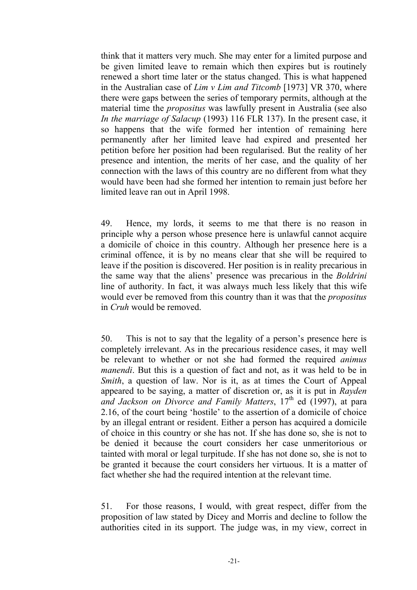think that it matters very much. She may enter for a limited purpose and be given limited leave to remain which then expires but is routinely renewed a short time later or the status changed. This is what happened in the Australian case of *Lim v Lim and Titcomb* [1973] VR 370, where there were gaps between the series of temporary permits, although at the material time the *propositus* was lawfully present in Australia (see also *In the marriage of Salacup* (1993) 116 FLR 137). In the present case, it so happens that the wife formed her intention of remaining here permanently after her limited leave had expired and presented her petition before her position had been regularised. But the reality of her presence and intention, the merits of her case, and the quality of her connection with the laws of this country are no different from what they would have been had she formed her intention to remain just before her limited leave ran out in April 1998.

49. Hence, my lords, it seems to me that there is no reason in principle why a person whose presence here is unlawful cannot acquire a domicile of choice in this country. Although her presence here is a criminal offence, it is by no means clear that she will be required to leave if the position is discovered. Her position is in reality precarious in the same way that the aliens' presence was precarious in the *Boldrini* line of authority. In fact, it was always much less likely that this wife would ever be removed from this country than it was that the *propositus* in *Cruh* would be removed.

50. This is not to say that the legality of a person's presence here is completely irrelevant. As in the precarious residence cases, it may well be relevant to whether or not she had formed the required *animus manendi*. But this is a question of fact and not, as it was held to be in *Smith*, a question of law. Nor is it, as at times the Court of Appeal appeared to be saying, a matter of discretion or, as it is put in *Rayden*  and Jackson on Divorce and Family Matters, 17<sup>th</sup> ed (1997), at para 2.16, of the court being 'hostile' to the assertion of a domicile of choice by an illegal entrant or resident. Either a person has acquired a domicile of choice in this country or she has not. If she has done so, she is not to be denied it because the court considers her case unmeritorious or tainted with moral or legal turpitude. If she has not done so, she is not to be granted it because the court considers her virtuous. It is a matter of fact whether she had the required intention at the relevant time.

51. For those reasons, I would, with great respect, differ from the proposition of law stated by Dicey and Morris and decline to follow the authorities cited in its support. The judge was, in my view, correct in